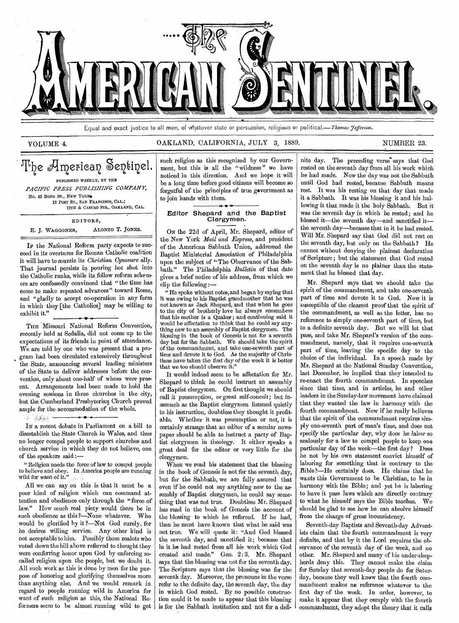

Equal and exact justice to all men, of vihatever state or persuasion, religious or political.—Thomas *7efferson.* 

### VOLUME 4. CALLAND, CALIFORNIA, JULY 3, 1889. NUMBER 23.

### The American Sentinel. PUBLISHED WEEKLY, BY THE *PACIFIC PRESS PUBLISHING COMPANY,*  No. 43 BOND ST., NEW YORK\*

18 POST ST., SAN FRANCISCO, CAL.; 12TH & CASTRO STS., OAKLAND, CAL.

**EDITORS,**  E. **J.** WAGGONER, ALONZO T. JONES.

**IF** the National Reform party expects to succeed in its overtures for Roman Catholic coalition it will have to muzzle its *Christian Cynosure* ally. That journal persists in pouring hot shot into the Catholic ranks, while its fellow reform schemers are confessedly convinced that " the time has come to make repeated advances" toward Rome, and "gladly to accept co-operation in any form in which they [the Catholics] may be willing to exhibit it."

THE Missouri National Reform Convention, recently held at Sedalia, did not come up to the expectations of its friends in point of attendance. We are told by one who was present that a program had been circulated extensively throughout the State, announcing several leading ministers of- the State to deliver addresses before the convention, only about one-half of whom were present. Arrangements had been made to hold the evening sessions in three churches in the city, but the Cumberland Presbyterian Church proved ample for the accommodation of the whole.

• •  $\epsilon = \epsilon$  . Finally,  $\epsilon$ IN a recent debate in Parliament on a bill to disestablish the State Church in Wales, and thus

no longer compel people to support churches and church service in which they do not believe, one of the speakers said :—

" Religion needs the force of law to compel people to, believe and obey. In America people are running wild for want of it."

All we can say.on this is that it must be a poor kind of religion which can command attention and obedience only through the "force of law." How much real piety would there be in such obedience as this ?—None whatever. Who would be glorified by it ?—Not God surely, for he desires willing service. Any other kind is not acceptable to him. Possibly those zealots who voted down the bill above referred to thought they were conferring honor upon God by enforcing socalled religion upon the people, but we doubt it. All such work as this is done by men for the purpose of honoring and glorifying themselves more than anything else. And we would remark in regard to people running wild in America for want of such religion as this, the National Reformers seem to be almost running wild to get such religion as this recognized by our Government, but this is all the "wildness" we have noticed in this direction. And we hope it will be a long time before good citizens will become so forgetful of the principles of true government as to join hands with them.

### Editor Shepard and the Baptist Clergymen.

ON the 22d of April, Mr. Shepard, editor of the New York *Mail and Express,* and president of the American Sabbath Union, addressed the Baptist Ministerial Association of Philadelphia upon the subject of "The Observance of the Sabbath." The Philadelphia *Bulletin* of that date gives a brief notice of his address, from which we clip the following :—

" He spoke without notes, and began by saying that it was owing to his Baptist grandmother that he was not known as Jack Shepard, and that when he goes to the city of brotherly love he always remembers that his mother is a Quaker; and continuing said it would be affectation to think that he could say anything new to an assembly of Baptist clergymen. The blessing in the book of Genesis is not for a seventh day but for the Sabbath. We should take the spirit of the commandment, and take one-seventh part of time and devote it to God. As the majority of Christians have taken the first day of the week it *is* better that we too should observe it.'

It would indeed seem to be affectation for Mr. Shepard to think he could instruct an assembly of Baptist clergymen. On first thought we should call it presumption, or great self-conceit; but inasmuch as the Baptist clergymen listened quietly to his instruction, doubtless they thought it profitable. Whether it was presumption or not, it is certainly strange that an editor of a secular newspaper should be able to instruct a party of Baptist clergymen in theology. It either speaks a great deal for the editor or very little for the clergymen.

When we read his statement that the blessing in the book of Genesis is not for the seventh day, but for the Sabbath, we are fully assured that even if he could not say anything new to the assembly of Baptist clergymen, he could say something that was not true. Doubtless Mr. Shepard has read in the book of Genesis the account of the blessing to which he referred. If he had, then he must have known that what he said was not true. We will quote it: "And God blessed the seventh day, and sanctified it; because that in it he had rested from all his work which God created and made." Gen. 2: 3. Mr. Shepard says that the blessing was not for the seventh day. The Scripture says that the blessing was for the seventh day. Moreover, the pronouns in the verse refer to the definite day, the seventh day, the day in which God rested. By no possible construction could it be made to appear that this blessing is for the Sabbath institution and not for a definite day. The preceding verse" says that God rested on the seventh day from all his work which he had made. Now the day was not the Sabbath until God had rested, because Sabbath means rest. It was his resting on that day that made it a Sabbath. It was his blessing it and his hallowing it that made it the holy Sabbath. But it was the *seventh* day in which he rested ; and he blessed it—the seventh day—and sanctified it the seventh day—because that in it he had rested. Will Mr. Shepard say that God did not rest on the seventh day, but only on the Sabbath ? He cannot without denying the plainest declaration of Scripture ; but the statement that God rested on the seventh day is no plainer than the statement that he blessed that day.

Mr. Shepard says that we should take the spirit of the commandment, and take one-seventh part of time and devote it to God. Now it is susceptible of the clearest proof that the spirit of the commandment, as well as the letter, has no reference to simply one-seventh part of time, but to a definite seventh day. But we will let that pass, and take Mr. Shepard's version of the commandment, namely, that it requires one-seventh part of time, leaving the specific day to the choice of the individual. In a speech made by' Mr. Shepard at the National Sunday Convention, last December, he implied that they intended to re-enact the fourth commandment. In speeches since that time, and in articles, he and other leaders in the Sunday-law movement have claimed that they wanted the law in harmony with the fourth commandment. Now if he really believes that the spirit of the commandment requires simply one-seventh part of man's time, and does not specify the particular day, why does he labor so zealously for a law to compel people to keep one particular day of the week—the first day? Does he not by his own statement convict himself of laboring for something that is contrary to the Bible ?—He certainly does. He claims that he wants this Government to be Christian, to be in harmony with the Bible; and yet he is laboring to have it pass laws which are directly contrary to what he himself says the Bible teaches. We should be glad to see how he can absolve himself from the charge of gross inconsistency.

Seventh-day Baptists and Seventh-day Adventists claim that the fourth commandment is very definite, and that by it the Lord requires the observance of the seventh day of the week, and no other. Mr. Shepard and many of his under-shepherds deny this. They cannot make the claim for Sunday that seventh-day people do for Saturday, because they well know that the fourth commandment makes no reference whatever to the first day of the week. In order, however, to make it appear that they comply with the fourth commandment, they adopt the theory that it calls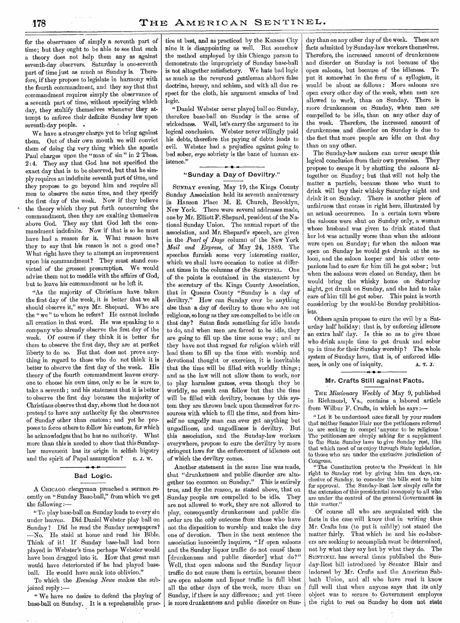for the observance of simply a seventh part of time; but they ought to be able to see that such a theory does not help them any as against seventh-day observers. Saturday is one-seventh part of time just as much as Sunday is. Therefore, if they propose to legislate in harmony with the fourth commandment, and they say that that commandment requires simply the observance of a seventh part of time, without specifying which day, they stultify themselves whenever they attempt to enforce their definite Sunday law upon seventh-day people. .

We have a stronger charge yet to bring against them. Out of their own mouth we will convict them of doing the very thing which the apostle Paul charges upon the "man of sin" in 2 Thess. 2:4. They say that God has not specified the exact day that is to be observed, but that he simply requires an indefinite seventh part of time, and they propose to go beyond him and require all men to observe the same time, and they specify the first day of the week. Now if they believe the theory which they put forth concerning the commandment, then they are exalting themselves above God. They say that God left the commandment indefinite. Now if that is so he must have had a reason for it. What reason have they to say that his reason is not a good one ? What right have they to attempt an improvement upon his commandment? They must stand convicted of the grossest presumption. We would advise them not to meddle with the affairs of God, but to leave his commandment as he left it.

"As the majority of Christians have taken the first day of the week, it is better that we all should observe it," says Mr. Shepard. Who are the " we " to whom he refers? He cannot include all creation in that word. He was speaking to a company who already observe the first day of the week. Of course if they think it is better for them to observe the first day, they are at perfect liberty to do so. Rut that does not prove anything in regard to those who do not think it is better to observe the first day of the week. His theory of the fourth commandment leaves everyone to choose his own time, only so he is sure to, take a seventh ; and his statement that it is better to observe the first day because the majority of Christians observe that day, shows that he, does not pretend to have any authority for the observance of Sunday other than custom ; and yet he proposes to force others to follow his custom, for which he acknowledges that he has no authority. What more than this is needed to show that this Sundaylaw movement has its origin in selfish bigotry and the spirit of Papal assumption? E. J. W.

### Bad Logic.

A CHICAGO clergyman preached a sermon recently on " Sunday Base-ball," from which we get the following  $:$   $-$ 

"To play base-ball on Sunday leads to every sin under heaven. Did Daniel Webster play ball on Sunday ? Did he read the Sunday newspapers? -No. He staid at home and read his Bible. Think of it! If Sunday base-ball had been played in Webster's time perhaps Webster would have been dragged into it. How that great man would have deteriorated if he had played baseball. He would have sunk into oblivion."

To which the *Evening News* makes the subjoined reply :—

" We have no desire to defend the playing of base-ball on Sunday. It is a reprehensible prac-

tice at best, and as practiced by the Kansas City nine it is disappointing as well. But somehow the method employed by this Chicago parson to demonstrate the impropriety of Sunday base-ball is not altogether satisfactory. We hate bad logic as much as the reverend gentleman abhors false doctrine, heresy, and schism, and with all due respect for the cloth, his argument smacks of bad logic.

"Daniel Webster never played ball on Sunday, therefore base-ball on. Sunday is the acme of wickedness. Well, let's carry the argument to its logical conclusion. Webster never willingly paid his debts, therefore the paying of debts leads to evil. Webster had a prejudice against going to bed sober, *ergo* sobriety is the bane of human existence."

### "Sunday a Day of Deviltry."

SUNDAY evening, May 19, the Kings County Sunday Association held its seventh anniversary in Hanson Place M. E. Church, Brooklyn, New York. There were several addresses made, one by Mr. Elliott F. Shepard, president of the National Sunday Union. The annual report of the association, and Mr. Shepard's speech, are given in the *Pearl of Days* column of the New York *Mail and Express,* of May 24, 1889. The speeches furnish some very interesting matter, which we shall have occasion to notice at different times in the columns of the SENTINEL. One of the points is contained in the statement by the secretary of the Kings County Association, that in Queens County "Sunday is a day of deviltry." How can Sunday ever be anything else than a day of deviltry to those who are not religious, so long as they are compelled to be idle on that day? Satan finds something for idle hands to do, and when men are forced to be idle, they are going to fill up the time some way ; and as they have not that regard for religion which will lead them to fill up the time with worship and devotional thought or exercises, it is inevitable that the time will be filled with worldly things; and as the law will not allow them to work, nor to play harmless games, even though they be worldly, no result can follow but that the time will be filled with deviltry, because by this system they are thrown back upon themselves for resources with which to fill the time, and from himself no ungodly man can ever get anything but ungodliness, and ungodliness is deviltry. But this association, and the Sunday-law workers everywhere, propose to cure the deviltry by more stringent laws for the enforcement of idleness out of which the deviltry comes.

Another statement in the same line was made, that "drunkenness and public disorder are altogether too common on Sunday." This is entirely true, and for the reason, as stated above, that on Sunday people are compelled to be idle. They are not allowed to work, they are not allowed to play, consequently drunkenness and public disorder are the only outcome from those who have not the disposition to worship and make the day one of devotion. Then in the next sentence the association innocently inquires, "If open saloons and the Sunday liquor traffic do not cause them [drunkenness and public disorder] what do?" Well, that open saloons and the Sunday liquor traffic do not cause them is certain, because there are open saloons and liquor traffic in full blast all the other days of the week, more than on Sunday, if there is any difference; and yet there is more drunkenness and public disorder on Sun-

day than on any other day of the week. These are facts admitted by Sunday-law workers themselves. Therefore, the increased amount of drunkenness and disorder on Sunday is not because of the open saloons, but because of the idleness. To put it somewhat in the form of a syllogism, it would be about as follows : More saloons are open every other day of the week, when men are allowed to work, than on Sunday. There is more drunkenness on Sunday, when men are compelled to be idle, than on any other day of the week. Therefore, the increased amount of drunkenness, and disorder on Sunday is due to the fact that more people are idle on that day than on any other.

The Sunday-law makers can never escape this logical conclusion from their own premises. They propose to escape it by shutting the saloons altogether on Sunday; but that will not help the matter a particle, because those who want to drink will buy their whisky Saturday night and drink it on Sunday. There is another piece of unfairness that comes in right here, illustrated by an actual. occurrence. In a certain town where the saloons were shut on Sunday only, a woman whose husband was given to drink stated that her lot was actually worse than when the saloons were open on Sunday; for when the saloon was open on Sunday he would get drunk at the saloon, and the saloon keeper and his other companions had to care for him till he got sober; but when the saloons were closed on Sunday, then he would bring the whisky home on Saturday night, get drunk on Sunday, and she had to take care of him till he got sober. This point is worth considering by the would-be Sunday prohibitionists.

Others again propose to cure the evil by a Saturday half holiday; that is, by enforcing idleness an extra half day. Is this so as to give those who drink ample time to get drunk and sober up in time for their Sunday worship ? The whole system of Sunday laws, that is, of enforced idleness, is only one of iniquity. A. T. J.

### Mr. Crafts Still against Facts.

THE *Missionary Weekly* of May 9, published in Richmond, Va., contains a.labored article from Wilbur F. Crafts, in which he says :—

" Let it be understood once for all by your readers that neither Senator Blair nor the petitioners referred to are seeking to compel 'anyone to be religious' The petitioners are simply asking for a supplement to the State Sunday laws to give Sunday rest, like that which most of us enjoy through State legislation, to those who are under the exclusive jurisdiction of

Congress. "The Constitution protects the President in his right to Sunday rest by giving him ten days, exclusive of Sunday, to consider the bills sent to him for approval. The Sunday-Rest .law simply calls for the extension of this presidential monopoly to all who are under the control of the general Government in this matter."

Of course all who are acquainted with the facts in the case will know that in writing thus Mr. Crafts has (to put it mildly) not stated the matter fairly. That which he and his co-laborers are seeking to accomplish must be determined, not by what they say but by what they do. The SENTINEL has several times published the Sunday-Rest bill introduced by Senator Blair and indorsed by Mr. Crafts and the American Sabbath Union, and all who have read it know full well that when anyone says that its only object was to secure to Government employes the right to rest on Sunday he does not state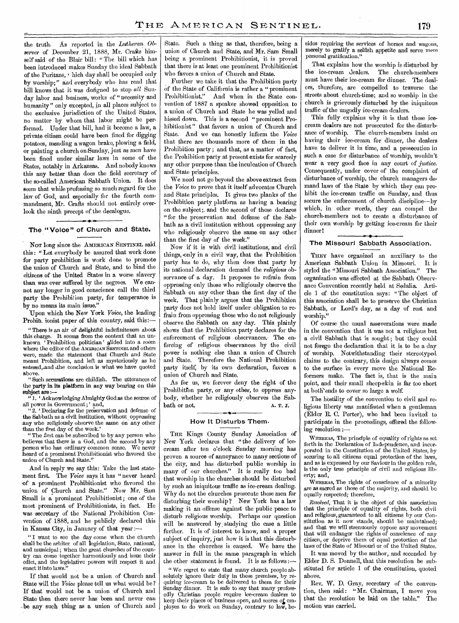the truth. As reported in the *Lutheran Observer* of December 21, 1888, Mr. Crafts himself said of the Blair bill: "The bill which has been introduced makes Sunday the ideal Sabbath of the Puritans,  $\cdot$  hich day shall be occupied only by worship;" and everybody who has read that bill knows that it was designed to stop *all* Sunday labor and business, works of " necessity and humanity" only excepted, in all places subject to the exclusive jurisdiction of the United States, no matter by whom that labor might be performed. Under that bill, had it become a law, a private citizen could have been fined for digging potatoes, mending a wagon brake, plowing a field, or painting a church on Sunday, just as men have been fined under similar laws in some of the States, notably in Arkansas. And nobody knows this any better than does the field secretary of the so-called American Sabbath Union. It does seem that while professing so much regard for the law of God; and especially for the fourth commandment, Mr. Crafts should not entirely overlook the ninth precept of the decalogue.

### The "Voice" of Church and State.

**'I,** 

NOT long since the AMERICAN SENTINEL said this: " Let everybody be assured that work done for party prohibition is work done to promote the union of Church and State, and to bind the citizens of the United States in a worse slavery than was ever suffered by the negroes. We cannot any longer in good conscience call the third party the Prohibition party, for temperance is by no means its main issue."

`Upon which the New York *Voice,* the leading Prohib. ionist paper of this country, said this:-

" There is an air of delightful indefiniteness about this charge. It seems from the context that an unknown ' Prohibition politician' glided into a room where the editor of the AMERICAN SENTINEL and others were, made the statement that Church and State meant Prohibition, and left as mysteriously as he entered, and the conclusion is what we have quoted above.

" Such accusations are childish. The utterances of the party in its platform in any way bearing on this subject are

"1. 'Acknowledging Almighty God as the source of all power in Government;' and,

'2. 'Declaring for the preservation and defense of the Sabbath as a civil institution, without oppressing any who religiously observe the same on *any* other than the first day of the week.'

"The first can be subscribed to by any person who believes that there is a God, and the second by any person who has ordinary common sense. We never heard of a prominent Prohibitionist who favored the union of Church and State."

And in reply we say this: Take the last statement first. The *Voice* says it has " never heard 'of a prominent Prohibitionist who favored the union of Church and State." Now Mr. Sam Small is a prominent Prohibitionist ; one of the most prominent of Prohibitionists, in fact. He was secretary of the National Prohibition Convention of 1888, and he publicly declared this in Kansas City, in January of that year :—

"I want to see the day come when the church shall be the arbiter of all legislation, State, national, and municipal ; when the great churches of the country can come together harmoniously and issue their edict, and the legislative powers will respect it and enact it into laws."

If that would not be a union of Church and State will the *Voice* please tell us what would be? If that would not be a union of Church and State then there never has been and never can be any such thing as a union of Church and State. Such a thing as that, therefore, being a union of Church and State, and Mr. Sam Small being a prominent Prohibitionist, it is proved that there is at least one prominent Prohibitionist who favors a union of Church and State.

Further we take it that the Prohibition party of the State of California is rather a " prominent Prohibitionist." And when in the State convention of 1887 a speaker showed opposition to a union of Church and State he was yelled and hissed down. This is a second "prominent Prohibitionist" that favors a union of Church and State. And we can honestly inform the *Voice*  that there are thousands more of them in the Prohibition party; and that, as a matter of fact, the Prohibition party at present exists for scarcely any other purpose than the inculcation of Church and State principles.

We need not go beyond the above extract from the *Voice* to prove that it itself advocates Church and State principles. It gives two planks of the Prohibition party platform as having a bearing on the subject; and the second of these declares " for the preservation and defense of the Sabbath as a civil institution without oppressing any who religiously observe the same on any other than the first day of the week."

Now if it is with civil institutions, and civil things,•only in a civil way, that the Prohibition party has to do, why then does that party by its national declaration demand the *religious* observance of a day. It proposes to refrain from oppressing only those who religiously observe the Sabbath on any other than the first day of the week. That plainly argues that the Prohibition party does not hold itself under obligation to refrain from oppressing those who do not religiously observe the Sabbath on any day. This plainly shows that the Prohibition party declares for the enforcement of religious observances. The enforcing of religious observances by the civil power is nothing else than a union of Church and State. Therefore the National Prohibition party itself, by its own declaration, favors a union of Church and State.

As for us, we forever deny the right of the Prohibition party, or any other, to oppress anybody, whether he religiously observes the Sab $b$ ath or not.  $A. T. J.$ 

#### How It Disturbs Them.

THE Kings County Sunday Association of New York declares that " the delivery of icecream after ten o'clock Sunday morning has proven a source of annoyance to many sections of the city, and has disturbed public worship in many of our churches." It is really too bad that worship in the churches should be disturbed by such an iniquitous traffic as ice-cream dealing. Why do not the churches prosecute these men for disturbing their worship ? New York has a law making it an offense against the public peace to disturb religious worship. Perhaps our question will be answered by, studying the case a little further. It is of interest to know, and a proper subject of inquiry, just how it is that this disturbance in the churches is caused. We have the answer in full in the same paragraph in which the other statement is found. It is as follows:—

" We regret to state that many church people absolutely ignore their duty in these premises, by requiring ice-cream to be delivered to them for their Sunday dinner. It is safe to say that many professedly Christian people require ice-cream dealers to keep their places of business open, and scores of employes to do work on Sunday, contrary to law, besides requiring the services of horses and wagons, merely to gratify a selfish appetite and serve mere personal gratification."

That explains how the worship is disturbed by the ice-cream dealers. The church-members must have their ice-cream for dinner. The dealers, therefore, are compelled to traverse the streets about church-time; and so worship in the church is grievously disturbed by the iniquitous traffic of the ungodly ice-cream dealers.

This fully explains why it is that these icecream dealers are not prosecuted for the disturbance of worship. The church-members insist on having their ice-cream for dinner, the dealers have to deliver it in time, and a prosecution in such a case for disturbance of worship, wouldn't wear a very good face in any court of *justice.*  Consequently, under cover of the complaint of disturbance of worship, the church managers demand laws of the State by which they can prohibit the ice-cream traffic on Sunday, and thus secure the enforcement of church discipline--by which, in other words, they can compel the church-members not to create a disturbance of their own worship by getting ice-cream for their dinner!

#### The Missouri Sabbath Association.

THEY have organized an auxiliary to the American Sabbath Union in Missouri. It is styled the "Missouri Sabbath Association." The organization was effected at the Sabbath Observance Convention recently held at Sedalia. Article 1 of the constitution says: "The object of' this association shall be to preserve the Christian Sabbath, or Lord's day, as a day of rest and worship."

Of course the usual asseverations were made in the convention that it was not a religious but a civil Sabbath that is sought; but they could not forego the declaration that it is to be a day of worship. Notwithstanding their stereotyped claims to the contrary, this design always comes to the surface in every move the National Reformers make. The fact is, that is the main point, and their small sheep-skin is far too short at both ends to cover so large a wolf.

The hostility of the convention to civil and religious liberty was manifested when a gentleman (Elder R. C. Porter), who had been invited to participate in the proceedings, offered the following resolution

WHEREAS, The principle of equality of rights as set forth in the Declaration of Independence, and incorporated in the Constitution of the United States, by securing to all citizens equal protection of the laws, and as is expressed by our Saviour in the golden rule, is the only true principle of civil and religious liberty; and,

WHEREAs, The rights of conscience of a minority are as sacred as those of the majority, and should be equally respected; therefore,

*Resolved,* That it is the object of this association that the principle of equality of rights, both civil and religious, guaranteed to all citizens by our Constitution as it now stands, should be maintained; and that we will strenuously oppose any movement that will endanger the rights of conscience of any citizen, or deprive them of equal protection of the laws of the State of Missouri or of the United States.

It was moved by the author, and seconded by Elder D. S. Donnell, that this resolution be substituted for article 1 of the constitution, quoted above.

Rev. W. D. Gray, secretary of the convention, then said: "Mr. Chairman, I move you that the resolution be laid on the table." The motion was carried.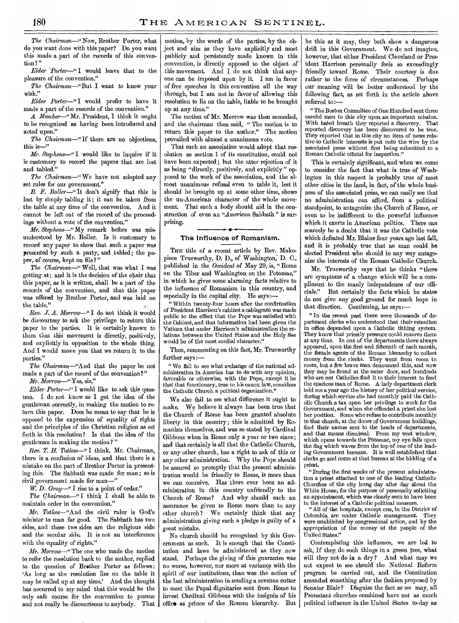*The Chairman—"Now,* Brother Porter, what do you want done with this paper? Do you want this made a part of the records of this convention?"

*Elder `Porter—"I* would leave that to the pleasure of the convention."

*The Chairman—"But* I want to know your wish."

*Elder Porter —"I* would prefer to have it made a part of the records of the convention."

*A Member—"Mr.* President, I think it ought to be recognized as having been introduced and acted upon."

*The Chairman—"If* there are no objections, this is—"

*Mr. Stephens—"I* would like to inquire if it is customary to record the papers that are lost and tabled."

*The Chairman—"* We have not adopted any set rules for our government."

*B. F. Roller—"* It don't signify that this is lost by simply tabling it; it can be taken from the table at any time of the convention. And it cannot be left out of the record of the proceedings without a vote of the convention."

*Mr. Stephens—"My* remark before was misunderstood by Mr. Boller. Is it customary to record any paper to show that such a paper was presented by such a party, and tabled; the paper, of course, kept on file?"

*The Chairman—"* Well, that was what I was getting at; and it is the decision of the chair that this paper, as it is written, shall be a part of the records of the convention, and that this paper was offered by Brother Porter, and was laid on the table."

*Rev. .1. A. Morrow—"* I do not think it would be discourtesy to ask the privilege to return this paper to the parties. It is certainly known to them that this movement is directly, positively, and explicitly in opposition to the whole thing. And I would move you that we return it to the parties."

*The Chairman—"And* that the paper be not made a part of the record of the convention?"

*Mr.Morrow—"Yes,* sir."

*Elder Porter—"I* would like to ask this question. I do not know as I get the idea of the gentleman correctly, in making the motion to return this paper. Does he mean to say that he is opposed to the expression of equality of rights and the principles of the Christian religion as set forth in this resolution? Is that the idea of the gentleman in making the motion?"

*Rev. T. H. Tatlow--"I* think, Mr. Chairman, there is a confusion of ideas, and that there is a mistake on the part of Brother Porter in presenting this. The Sabbath was made for man; so is civil government made for man—"

W. *D. Gray—"I* rise to a point of order."

*The Chairman—"I* think I shall be able to maintain order in the convention."

*Mr. Tatlow—"And* the civil ruler is God's minister to man for good. The Sabbath has two sides, and these two sides are the religious side and the secular side. It is not an interference with the equality of rights."

*Mr. Morrow—"* The one who made the motion to refer the resolution back to the author, replied to the question of Brother Porter as follows : 'As long as the resolution lies on the table it may be called up at any time.' And the thought has occurred to my mind that this would be the only safe course for the convention to pursue and not really be discourteous to anybody. That

motion, by the words of the parties, by the object and aim as they have, explicitly and most publicly and persistently made known in this convention, is directly opposed to the object of this movement. And I do not think that anyone can be imposed upon by it. I am in favor of free speeches in this convention all the way through, but I am not in favor of allowing this resolution to lie on the table, liable to be brought up at any time."

The motion of Mr. Morrow was then seconded, and the chairman then said, " The motion is to return this paper to the author." The motion prevailed with almost a unanimous vote.

That such an association would adopt that resolution as section 1 of its constitution, could not have been expected ; but the utter rejection of it as being "directly, positively, and explicitly " opposed to the work of the association, and the almost unanimous refusal even to table it, lest it should be brought up at some other time, shows the un-American character of the whole movement. That such a body should aid in the construction of even an *"American* Sabbath " is surprising. *ir* •

### The Influence of Romanism.

THE title of a recent article by Rev. Makepiece Trueworthy, D. D., of Washington; D. C., published in the *Occident* of May 29, is, "Rome on the Tiber and Washington on the Potomac," in which he gives some alarming facts relative to the influence of Romanism in this country, and especially in the capital city. He says:—

" Within twenty-four hours after the confirmation of President Harrison's cabinet a cablegram was made public to the effect that the Pope was satisfied with the Cabinet, and that information had been given the Vatican that under Harrison's administration the relations between the United States and the Holy See would be of the most cordial character."

Then, commenting on this fact, Mr. Trueworthy further *says:—* 

"We fail to see what a change of the national administration in America has to do with any opinion, favorable or otherwise, with the Pope, except it be that that functionary, true to his canon law, considers the Catholic Church a political organization.

We also fail to see what difference it ought to make. We believe it always has been true that the Church of Rome has been granted absolute liberty in this country; this is admitted by Romanists themselves, and was so stated by Cardinal Gibbons when in Rome only a year or two since; and that certainly is all that the Catholic Church, or any other church, has a right to ask of this or any other administration. Why the Pope should be assured so promptly that the present administration would be friendly to Rome, is more than we can conceive. Has there ever been an administration in this country unfriendly to the Church of Rome? And why should such an assurance be given to Rome more than to any other church? We certainly think that any administration giving such a pledge is guilty of a great mistake.

No church should be recognized by this Government as such. It is enough that the Constitution and laws be administered as they now stand. Perhaps the giving of this guarantee was no worse, however, nor more at variance with the spirit of our institutions, than was the action of the last administration in sending a revenue cutter to meet the Papal dignitaries sent from Rome to invest Cardinal Gibbons with the insignia of his offico as prince of the Roman hierarchy. But

be this as it may, they both show a dangerous drift in this Government. We do not imagine, however, that either President Cleveland or President Harrison personally feels so exceedingly friendly toward Rome. Their courtesy is due rather to the force of circumstances. Perhaps our meaning will be better understood by the following fact, as set forth in the article above referred to:-

The Boston Committee of One Hundred sent three careful men to this city upon an important mission. With bated breath they reported a discovery. That reported discovery has been discovered to be true. They reported that in this city no item of news relative to Catholic interests is put onto the wire by the associated press without first being submitted to a Roman Catholic official for inspection."

This is certainly significant, and when we come to consider the fact that what is true of Washington in this respect is probably true of most other cities in the land, in fact, of the whole business of the associated press, we can easily see that no administration can afford, from a political standpoint, to antagonize the Church of Rome, or even to be indifferent to the powerful influence which it exerts in American politics. There can scarcely be a doubt that it was the Catholic vote which defeated Mr. Blaine four years ago last fall, and it is probably true that no man could be elected President who should in any way antagonize the interests of the Roman Catholic Church.

Mr. Trueworthy says that he thinks "there are symptoms of a change which will be a compliment to the manly independence of our officials." But certainly the facts which he states do not give any good ground for much hope in that direction. Continuing, he says :—

"In the recent past there were thousands of department clerks who understood that their retention in office depended upon a Catholic tithing system. They know that priestly pressure could remove them at any time. In one of the departments there always appeared, upon the first and fifteenth of each month, the female agents of the Roman hierarchy to collect money from the clerks. They went from room to room, but a few brave men denounced this, and now they may be found at the outer door, and hundreds who are not Catholics find it to their interest to feed the spacious man of Rome. A lady department clerk told me a year ago the history of her political service, during which service she had monthly paid the Catholic Church a tax upon her privilege to work for the Government, and when she offended a priest she lost her position. Some who refuse to contribute monthly to that church, at the doors of Government buildings, find their names sent to the heads of departments, and that means dismissal. From my west window, which opens towards the Potomac, my eye falls upon the flag which waves from the top of one of the leading Government bureaus. It is well established that clerks go and come at that bureau at the bidding of a priest.

"During the first weeks of the present administration a priest attached to one of the leading Catholic Churches of the city hung day after day about the White House, for the purpose of personally soliciting an appointment, which was clearly seen to have been in the interest of a Catholic political measure.

" All of the hospitals, except one, in the District of Columbia, are under Catholic management. They were established by congressional action, and by the appropriation of the money of the people of the United States."

Contemplating this influence, we are led to ask, If they, do such things in a green tree, what will they not do in a dry? And what may we not expect to see should the National Reform program be carried out, and the Constitution amended something after the fashion proposed by Senator Blair? Disguise the fact as we may, all Protestant churches combined have not as much political influence in the United States to-day as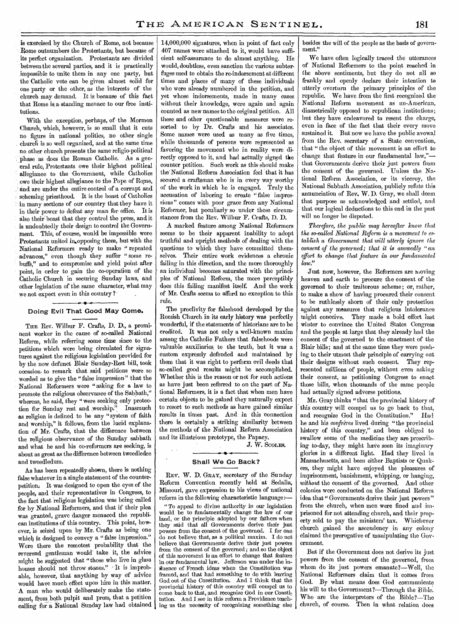is exercised by the Church of Rome, not because Rome outnumbers the Protestants, but because of its perfect organization. Protestants are divided between the several parties, and it is practically impossible to unite them in any one party, but the Catholic vote can be given almost solid for one party or the other, as the interests of the church may demand. It is because of this fact that Rome is a standing menace to our free institutions.

With the exception, perhaps, of the Mormon Church, which, however, is so small that it cuts no figure in national politics, no other single church is so well organized, and at the same time no other church presents the same religio-political phase as does the Roman Catholic. As a general rule, Protestants owe their highest political allegiance to the Governnent, while Catholics owe their highest allegiance to the Pope of Rome, and are under the entire control of a corrupt and scheming priesthood. It is the boast of Catholics in many sections of our country that they have it in their power to defeat any man for office. It is also their boast that they control the press, and it is undoubtedly their design to control the Government. This, of course, would be impossible were Protestants united in opposing them, but with the National Reformers ready to make " repeated advances," even though they suffer "some rebuffs," and to compromise and yield point after point, in order to gain the co-operation of the Catholic Church in securing Sunday laws, and other legislation of the same character, what may we not expect even in this country ?

### **Doing Evil That Good May Come.**

THE Rev. Wilbur F. Crafts, **D. D.,** a prominent worker in the cause of so-called National Reform, while referring some time since to the petitions which were being circulated for signatures against the religious legislation provided for by the now defunct Blair Sunday-Rest bill, took occasion. to remark that said petitions were so worded as to give the "false impression" that the National Reformers were "asking for a law to promote the religious observance of the Sabbath," whereas, he said, they "were seeking only protection for Sunday rest and worship." Inasmuch as religion is defined to be any "system of faith and worship," it follows, from the lucid explanation of Mr. Crafts, that the difference between the religious observance of the Sunday sabbath and what he and his co-reformers are seeking, is about as great as the difference between tweedledee and tweedledum.

As has been repeatedly shown, there is nothing false whatever in a single statement of the counterpetition., It was designed to open the eyes of the people, and their representatives in Congress, to the fact that religious legislation was being called for by National Reformers, and that if their plea was granted, grave danger menaced the republican institutions of this country. This point, however, is seized upon by Mr. Crafts as being one which is designed to convey a " false impression." Were there the remotest probability that the reverend gentleman would" take it, the advice might be suggested that "those who live in glass houses should not throw stones." It is improbable, however, that anything by way of advice would have much effect upon him in this matter. A man who would deliberately make the statement, from both pulpit and press, that a petition calling for a National Sunday law had obtained

14,000,000 signatures, when in point of fact only 407 names were attached to it, would have sufficient self-assurance to do almost anything. He would, doubtless, even sanction the various subterfuges used to obtain the re-indorsement at different times and places of many of these individuals who were already numbered in the petition, and yet whose indorsements, made in many cases without their knowledge, were again and again counted as new names to the original petition. All these and other questionable measures were resorted to by Dr. Crafts and his associates. Some names were used as many as five times, while thousands of persons were represented as favoring the movement who in reality were directly opposed to it, and had actually signed the counter petition. Such work as this should make the'National Reform Association feel that it has secured a craftsman who is in every way worthy of the work in which he is engaged. Truly the accusation of laboring to create "false impressions" comes with poor grace from any National Reformer, but peculiarly so under these circumstances from the Rev. Wilbur F. Crafts, D. D.

A marked feature among National Reformers seems to be their apparent inability to adopt truthful and upright methods of dealing with the questions to which they have committed themselves. Their entire work evidences a chronic failing in this direction, and the more thoroughly an individual becomes saturated with the principles of National Reform, the more perceptibly does this failing manifest itself. And the work of Mr. Crafts seems to afford no exception to this rule.

The proclivity for falsehood developed by the Romisb Church in its early history was perfectly wonderful, if the statements of historians are to be credited. It was not only a well-known maxim among the Catholic Fathers that falsehoods were valuable auxiliaries, to the truth, but it was a custom expressly defended and maintained by them that it was right to perform evil deeds that so-called good results might be accomplished. Whether this is the reason or not for such actions as have just been referred to on the part of National Reformers, it is a fact that when men have certain objects to be gained they naturally expect to resort to such methods as have gained similar results in times past. And in this connection there is certainly a striking similarity between the methods of the National Reform Association and its illustrious prototype, the Papacy.

J. W. SCOLES.

#### **Shall We Go Back?**

REV. W. D. GRAY, secretary of the Sunday Reform Convention recently held at Sedalia, Missouri, gave expression to his views of national reform in the following characteristic language:—

" To appeal to divine authority in our legislation would be to fundamentally change the law of our land, or the principle adopted by our fathers when they said that all Governments derive their just powers from the consent of the governed. I for one do not believe that, as a political maxim. I do not believe that Governments derive their just powers from the consent of the governed ; and so the object of this movement is an effort to change that feature in our fundamental law. Jefferson was under the influence of French ideas when the Constitution was framed, and that had something to do with leaving God out of the Constitution. And I think that the provincial history of this country will compel us to come back to that, and recognize God in our Constitution. And I see in this reform a Providence teaching us the necessity of recognizing something else besides the will of the people as the basis of government."

We have often logically traced the utterances of National Reformers to the point reached in the above sentiments, but they do not all so frankly and openly declare their intention to utterly overturn the primary principles of the republic. We have from the first recognized the National Reform movement as un-American, diametrically opposed to republican institutions; but they have endeavored to resent the charge, even in face of the fact that their every move sustained it. But now we have the public avowal from the Rev. secretary of a State convention, that "the object of this movement is an effort to change that feature in our fundamental law," that Governments derive their just powers from the consent of the governed. Unless the National Reform Association, or its viceroy, the National Sabbath Association, publicly refute this annunciation of Rev. W. D. Gray, we shall deem that purpose as acknowledged and settled, and that our logical deductions to this end in the past will no longer be disputed.

*Therefore, the public may hereafter know that the so-called National Reform, is* a *movement to establish a Government that will utterly ignore the consent of the governed; that it is avowedly "an ef fort to change that feature in our fundamental law."* 

Just now, however, the Reformers are moving heaven and earth to procure the consent of the governed to their traitorous scheme; or, rather, to make a show of having procured their consent to be ruthlessly shorn of their only protection against any measures that religious intolerance might conceive. They made a bold effort last winter to convince the United States Congress and the people at large that they already had the consent of the governed to the enactment of the Blair bills; and at the same time they were pushing to their utmost their principle of carrying out their designs without such consent. They represented millions of people, without even asking their consent, as petitioning Congress to enact those bills, when thousands of the same people had actually signed adverse petitions.

Mr. Gray thinks "that the provincial history of this country will compel us to go back to that, and recognize God in the Constitution." IIad he and his *confreres* lived during "the provincial history of this country," and been obliged to swallow some of the medicine they are prescribing to-day, they might haVe seen its imaginary glories in a different light. Had they lived in Massachusetts, and been either Baptists or Quakers, they might have enjoyed the pleasures of imprisonment, banishment, whipping, or hanging, *without* the consent of the governed. And other colonies were conducted on the National Reform idea that " Governments derive their just powers" from the church, when men were fined and imprisoned for not attending church, and their property sold to pay the ministers' tax. Whichever church gained the ascendency in any colony claimed the prerogative of manipulating the Government.

But if the Government does not derive its just powers from the consent of the governed, from whom do its just powers emanate?—Well, the National Reformers claim that it comes from God. By what means does God communicate his will to the Government?—Through the Bible. Who are the interpreters of the Bible?—The church, of course. Then in what relation does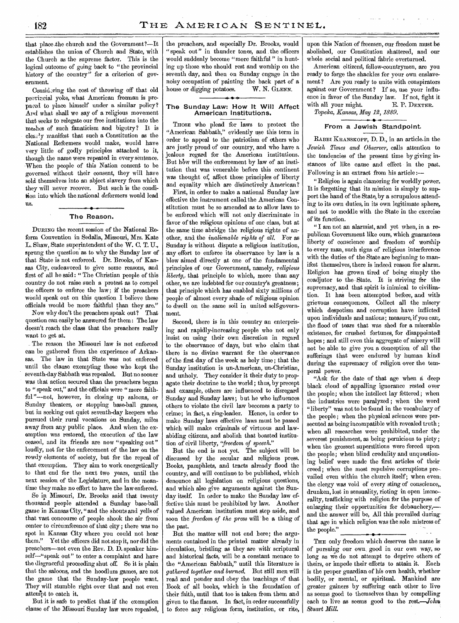that place the church and the Government?--It establishes the union of Church and State, with the Church as the supreme factor. This is the logical outcome of going back to "the provincial history of the country" for a criterion of government.

Considering the cost of throwing off that old provincial yoke, what American freeman is prepared to place himself under a similar policy? And what shall we say of a religious movement that seeks to relegate our free institutions into the meshes of such fanaticism and bigotry? It is clearly manifest that such a Constitution as the National Reformers would make, would have very little of godly principles attached to it, though the name were repeated in every sentence. When the people of this Nation consent to be governed without their consent, they will have sold themselves into an abject slavery from which they will never recover. But such is the condition into which the national deformers would lead us.

#### **The Reason.**

DURING the recent session of the National Reform Convention in Sedalia, Missouri, Mrs. Kate L. Shaw, State superintendent of the W. C. T. U., sprung the question as to why the Sunday law of that State is not enforced. Dr. Brooks, of Kansas City, endeavored to give some reasons, and first of all he said : " The Christian people of this country do not raise such a protest as to compel the officers to enforce the law; if the preachers would speak out on this question I believe these officials would be more faithful than they are."

Now why don't the preachers speak out? That question can easily be answered for them: The law doesn't reach the class that the preachers really want to get at.

The reason the Missouri law is not enforced can be gathered from the experience of Arkansas. The law in that State was not enforced until the clause exempting those who kept the seventh-day Sabbath was repealed. But no sooner was that action secured than the preachers began to " speak out," and the officials were " more faithful"---not, however, in closing up saloons, or Sunday theaters, or stopping base-ball games, but in seeking out quiet seventh-day keepers who pursued their rural vocations on Sunday, miles away from any public place. And when the exemption was restored, the execution of the law ceased, and its friends are now "speaking out" loudly, not for the enforcement of the law on the rowdy elements of society, but for the repeal of that exemption. They aim to work energetically to that end for the next two years, until the next session of the Legislature, and in the meantime they make no effort to have the law enforced.

So in Missouri, Dr. Brooks said that twenty thousand people attended a Sunday base-ball game in Kansas City, "and the shouts and yells of that vast concourse of people shook the air from center to circumference of that city ; there was no spot in Kansas City where you could not hear them." Yet the officers did not stop it, nor did the preachers—not even the Rev. D. D. speaker himself—"speak out" to enter a complaint and have the disgraceful proceeding shut off. So it is plain that the saloons, and the hoodlum games, are not the game that the Sunday-law people want. They will stumble right over that and not even attempt to catch it.

But it is safe to predict that if the exemption clause of the Missouri Sunday law were repealed, the preachers, and especially Dr. Brooks, would " speak out" in thunder tones, and the officers would suddenly become "more faithful" in hunting up those who should rest and worship on the seventh day, and then on Sunday engage in the noisy occupation of painting the back part of a house or digging potatoes. W. N. GLENN.

### **The Sunday Law: How It Will Affect American Institutions.**

THOSE who plead for laws to protect the "American Sabbath," evidently use this term in order to appeal to the patriotism of others who are justly proud of our country, and who have a jealous regard for the American institutions. But how will the enforcement by law of an institution that was venerable before this continent was thought of, affect those principles of liberty and equality which are distinctively American?

First, in order to make a national Sunday law effective the instrument called the American Constitution must be so amended as to allow laws to be enforced which will not only discriminate in favor of the religious opinions of one class, but at the same time abridge the religious rights of another, and the *inalienable rights of all.* For as Sunday is without dispute a religious institution, any effort to enforce its observance by law is a blow aimed directly at one of the fundamental principles of our Government, namely, *religious liberty,* that principle to which, more than any other, we are indebted for our country's greatness; that principle which has enabled sixty millions of people of almost every shade of religious opinion to dwell on the same soil in united self-government.

Second, there is in this country an enterprising and rapidly-increasing people who not only insist on using their own discretion in regard to the observance of days, but who claim that there is no divine warrant for the observance of the first day of the week as holy time ; that the Sunday institution is un-American, un-Christian, and unholy. They consider it their duty to propagate their doctrine to the world ; thus, by precept and example, others are influenced to disregard Sunday and Sunday laws; but he who influences others to violate the civil law becomes a party to crime; in fact, a ring-leader. Hence, in order to make Sunday laws effective laws must be passed which will make criminals of virtuous and lawabiding citizens, and abolish that boasted institution of civil liberty, *'freedom of speech."* 

But the end is not yet. The subject will be discussed by the secular and religious press. Books, pamphlets, and tracts already flood the country, and will continue to be published, which denounce all legislation on religious questions, and which also give arguments against the Sunday itself. In order to make the Sunday law effective this must be prohibited by law. Another valued American institution must step aside, and soon the *freedom of the press* will be a thing of the past.

But the matter will not end here; the arguments contained in the printed matter already in circulation, bristling as they are with scriptural and historical facts, will be a constant menace to the "American Sabbath," until this literature is *gathered together and burned.* But still men will read and ponder and obey the teachings of that Book of all books, which is the foundation of their faith, until that too is taken from them and given to the flames. In fact, in order successfully to force any religious form, institution, or rite,

upon this Nation of freemen, our freedom must be abolished, our Constitution shattered, and our whole social and political fabric overturned.

American citizens, fellow-countrymen, are you ready to forge the shackles for your own enslavement? Are you ready to unite with conspirators against our Government? If so, use your influence in favor of the Sunday law. If not, fight it<br>with all your might. E. P. DEXTER. with all your might. *Topeka, Kansas, May 12, 1889.* 

### **From a Jewish Standpoint.**

RABBI KRANSKOPF, D. D., in an article in the *Jewish Times and Observer,* calls attention to the tendencies of the present time by giving instances of like cause and effect in the past. Following is an extract from his article :—

"Religion is again clamoring for worldly power. It is forgetting that its mission is simply to support the hand of the State, by a scrupulous attending to its own duties, in its own legitimate sphere,. and not to meddle with the State in the exercise of its function.

" I am not an alarmist, and yet when, in a republican Government like ours, which guarantees liberty of conscience and freedom of worship to every man, such signs of religious interference with the duties of the State are beginning to manifest themselves, there is indeed reason for alarm. Religion has grown tired of being simply the coadjutor to the State. It is striving for the supremacy, and that spirit is inimical to civilization. It has been attempted before, and with grievous consequences. Collect all the misery which despotism and corruption have inflicted upon individuals and nations; measure, if you can, the flood of tears that was shed for a miserable existence, for crushed fortunes, for disappointed! hopes ; and still even this aggregate of misery will not be able to give you a conception of all the sufferings that were endured by human kind during the supremacy of religion over the temporal power.

"Ask for the date of that age when a deep black cloud of appalling ignorance rested over the people; when the intellect lay fettered; when the industries were paralyzed; when the word "liberty" was not to be found in the vocabulary of the people ; when the physical sciences were persecuted as being incompatible with revealed truth ; when all researches were prohibited, under the severest punishment, as being pernicious to piety; when the grossest superstitions were forced upon the people; when blind credulity and unquestioning belief were made the first articles of their creed ; when the most repulsive corruptions pre. vailed even within the church itself; when even; the clergy was void of every sting of conscience,, drunken, lost in sensuality, rioting in open immo-, rality, trafficking with religion for the purpose of enlarging their opportunities for debauchery,- and the answer will be, All this prevailed during that age in which religion was the sole mistress of the people."

THE only freedom which deserves the name is of pursuing our own good in our own way, so long as we do not attempt to deprive others of theirs, or impede their efforts to attain it. Each is the proper guardian of his own health, whether bodily, or mental, or spiritual. Mankind are greater gainers by suffering each other to live as seems good to themselves than by compelling each to live as seems good to the rest.—Johns *Stuart Mill.*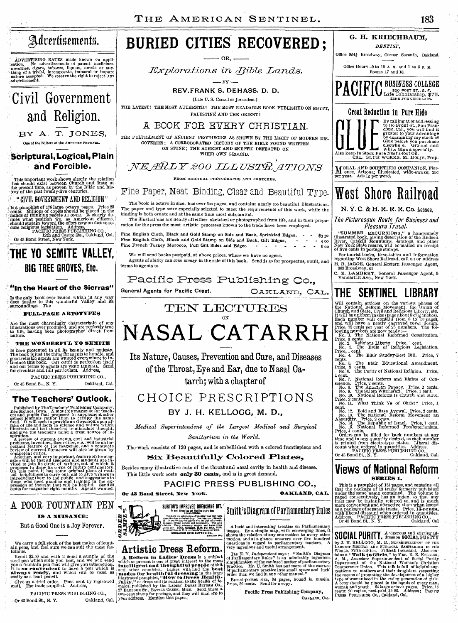MOVERTISING RATES made known on application. No advertisements of patent medicines, not allow the movelies, digares, tobacco, liquors, novels or any-<br>investies, digares, tobacco, liquors, novels or any-<br>thing of a trivial,



BY A. T. JONES, One of the Editors of the **AMERICAN SENTINEL.** 

### **Scriptural, Logical, Plain and Forcible.**

This important Work shows clearly the relation hat should exist between Church and State at die present time, as proven by the Bible and his- , ory of the past twenty-five centuries.

### " CIVIL GOVERNMENT AND RELIGION"

Ts a pamphlet of 176 large octavo pages. Price 25 cents. Millions of copies should be placed in the hands of thinking people AT once. It clearly defines what position we, as American citizens, should sustain toward the eff

### **THE YO SEMITE VALLEY, BIG TREE GROVES, Etc,**

### **"In the Heart of the Sierras"**

Is the only book ever issued which in any way does justice to this wonderful Valley and its surroundings. The

**FULL-PAGE ARTOTYPES** 

Are the most charmingly characteristic of any illustrations ever produced, and are perfectly true to life, having been photographed direct from nature.

#### **THE WONDERFUL YO SENITE**

Is here presented in all its beauty and majesty.<br>The book is just the thing for agents to handle, and good reliable agents are wanted everywhere to introduce this book. Our outfit is perfection itself and our terms to agen PACIFIC PRESS PUBLISHING CO.,

Or 43 Bond St., N. Y. Oakland, Cal,

### **The Teachers' Outlook.**

Published by The Teachers' Publishing Company,<br>Des Moines, Iowa. A monthly magazine for teach-<br>Cers and pupils that proposes to supplement other<br>school journals rather than to occupy the same<br>field. It will seek to provide

illustrate and test theories; to stimulate thought,<br>and test theories; to stimulate thought,<br>and give the teacher's mind a fresh source of in-<br>popular, point one, there is the property of current events of the magnetic<br>pro

# A POOR FOUNTAIN PEN **IS A. NUISANCE;**

But a Good One is a Joy Forever.

We carry a full stock of the best makes of fount-ain pens, and feel sure we can suit the most fas-tidious.

Remit \$2.50 and with it send a sample of the steel pen which suits you best, and we will send you a found in the synce of the synch it is **so convenient** to have a pen which is **always ready**, and which can be used as **alw** 

**Give** us **a trial** order. Pens **sent** by registered maiL The trade supplied. Address,

PACIFIC PRESS PUBLISHING CO.,<br>
iond St., N. Y. Oakland, Cal. Or 43 Bond St., N. Y.

# Advertisements. | BURIED CITIES RECOVERED ;

OR,

*Explorations in Bible Lands.* 

— в**у** –

**REV.FRANK S. DEHASS, D. D.** 

(Late U. S. Consul at Jerusalem.) THE LATEST! THE MOST AUTHENTIC! THE MOST READABLE BOOK PUBLISHED ON EGYPT, PALESTINE AND THE ORIENT!

A BOOK FOR EVERY CHRISTIAN.

THE FULFILLMENT OF ANCIENT PROPHECIES AS SHOWN BY THE LIGHT OF MODERN DIS-COVERIES ; A CORROBORATED HISTORY OF THE BIBLE FOUND WRITTEN ON STONE; THE ATHEIST AND SKEPTIC DEFEATED ON THEIR OWN GROUND.

### $\langle \textit{NEARLY 200 ILLUSTR} \textit{ATIONS} \rangle$

FROM ORIGINAL PHOTOGRAPHS AND SKETCHES.

### Fine Paper, Neat Binding, Clear and Beautiful Type.

**The book is octavo in** size, has over 600 pages, and contains nearly 200 beautiful illustrations. The paper and type were especially selected to meet the requirements of this work, while the binding is both ornate and at the same time most substantial.

The illustrat'ons are nearly all either sketched or photographed from life, and in their preparation for the press the most artistic processes known to the trade have been employed.

Fine English Cloth, Black and Gold Stamp on Side and Back, Sprinkled Edges, - - \$350 Fine English Cloth, Black and Gold Stamp on Side and Back, Gilt Edges, - - - 400<br>Fine French Turkey Morocco, Full Gilt Sides and Edges - - - - - - - - 600

We will send books postpaid, at above prices, where we have no agent. Agents of ability can *coin money* **in** the sale of this book. Send \$1.5o for prospectus, outfit, and terms to agents to

Pacific Press Publishing Co.,

General Agents for Pacific Coast. **OAKLAND**, CAL.

TEN LECTURES

## ON **NASAL CATARRH**

Its Nature, Causes, Prevention and Cure, and Diseases of the Throat, Eye and Ear, due to Nasal Catarrh; with a chapter of

### CHOICE PRESCRIPTIONS

*Sanitarium* in *the World.* 

The work consists of 120 pages, and is embellished with a colored frontispiece and

**Six Beautifully Colored Plates,** 

Besides many illustrative cuts of the throat and nasal cavity in health and disease. This little work costs **only 30 cents,** and is in great demand.

**PACIFIC PRESS PUBLISHING CO., Or 43 Bond Street, New York. CALL CARLAND, CAL.** 

Smith's Diagram of Parliamentary Rules

A lueid and interesting treatise on Parliamentary<br>usages. By a simple map, with converging lines, it<br>shows the relation of any one motion to every other relation, and at a glance answers over five hundred<br>questions in rega

The N. Y. *Independent* says: "Smith's Diagram<br>simplification of these" is an admirably ingenious<br>simplification of the confused matter of parliamentary<br>practice. Mr. U. Smith has put more of the essence<br>of parliamentary p

Breast-pocket size, 34 pages, bound in muslin. Price, 50 cents. Send for a copy.

Pacific Press Publishing Company, OAKLAND, CAL.

### **PACIFIC BUSINESS COLLEGE**<br>
EXPLORATION Life Scholarship, \$75. 320 POST ST., S. F. Life Scholarship, \$75. SEND FOR CIRCULARS.

**G. H. KRIECHBAUM,**  DENTIST. Office 854 $\frac{1}{2}$  Broadway, Corner Seventh, Oakland. Office Hours--9 to 12 A. M. and 1 to 5 p. M. Rooms 17 and 18.



**M**ORAL AND SCIENTIFIC COMPANION, Flor-<br>ence, Arizona; illustrated, wide-awake; 25c<br>per year. Ads 1c per word.

# West Shore Railroad

**N. Y. C. & H. R. R. R. Co.** Lessee.

The Picturesque Route for Business and Pleasure Travel.

"SUMMER EXCURSIONS," a handsomely illustrated book, giving description of the Hudson River, Catskill Mountains, Saratoga and other New York State resorts, will be mailed on receipt of five cents in postage stamps.

For tourist books, time-tables and information regarding West Shore Railroad, call on or address EL B. JAGOE, General Eastern Passenger Agent, 863 Broadway, or

C. E. LAMBERT, General Passenger Agent, 5 Vanderbilt Ave., New York.

## **THE SENTINEL LIBRARY**

Will contain articles on the various phases of<br>the National Reform Movement, the Union of<br>Church and State, Givil and Religious Liberty, etc.<br>It will be uniform insize (page about  $5x7/\chi$  inches).<br>Each number will contain

No. 7. National Reform and Rights of Con-science. Price, 2 cents.

No. 8. The Amorican Papacy. Price, 2 cents.<br>No. 9. The Salem Witchcraft. Price, 1 cent, No. 10. National Reform Is Church and State.<br>Price, 2 cents.<br>No. 11. What Think Ye of Christ? Price, 1<br>cent.<br>No. 12. Bold and Base Avo

Absurdity. Price, 2 cents. No. 14. The Republic of Israel. Price, l cent. No. 15. National Reformed Presbyterianism.

Price, 4 cents.<br>
Orders can be filled for back numbers at any<br>
orders can be filled for back numbers at any<br>
time and in any quantity desired, as each number<br>
is printed from electrotype plates. Address,<br>
count when ordere

### **Views of National Reform SERIES 1.**

This is a pamphlet of 151 pages, and contains all that the package of 18 tracks formerly published under the same name contained. The volume is paged consecutively, has an index, so that any threat track that the convenie

SOCIAL PURITY, A vigorous and stirring ad-**OUGHAL FURILL**, dress on SOCIAL FURTY<br>by J. H. KELLOGG, M. D., SUPERINTERDENT OF THE LARGET MEDICAL AND SURGICAL SANTAREM IN THE<br>MORLD. Fifth edition. Fritieth thousand. Also con-<br>tains a "Talk to Girls," by Mks. E. E. K **SOCIAL PURITY** 



### **Artistic Dress Reform.**

A Reform in Ladies' Dress is a subject<br>which at present is one of grati interest to the moss<br>intelligent and thoughtful people of thit<br>and, other countries. Ladies will, find the best<br>modes for healthful dressing in the la



**BY J. H. KELLOGG, M. D.,** 

*Medical Superintendent of the Largest Medical and Surgical*